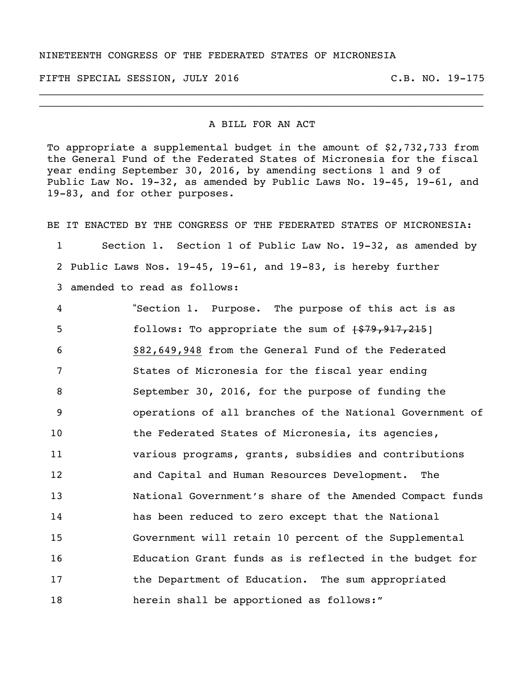## NINETEENTH CONGRESS OF THE FEDERATED STATES OF MICRONESIA

FIFTH SPECIAL SESSION, JULY 2016 C.B. NO. 19-175

## A BILL FOR AN ACT

\_\_\_\_\_\_\_\_\_\_\_\_\_\_\_\_\_\_\_\_\_\_\_\_\_\_\_\_\_\_\_\_\_\_\_\_\_\_\_\_\_\_\_\_\_\_\_\_\_\_\_\_\_\_\_\_\_\_\_\_\_\_\_\_\_\_\_\_\_\_\_ \_\_\_\_\_\_\_\_\_\_\_\_\_\_\_\_\_\_\_\_\_\_\_\_\_\_\_\_\_\_\_\_\_\_\_\_\_\_\_\_\_\_\_\_\_\_\_\_\_\_\_\_\_\_\_\_\_\_\_\_\_\_\_\_\_\_\_\_\_\_\_

To appropriate a supplemental budget in the amount of \$2,732,733 from the General Fund of the Federated States of Micronesia for the fiscal year ending September 30, 2016, by amending sections 1 and 9 of Public Law No. 19-32, as amended by Public Laws No. 19-45, 19-61, and 19-83, and for other purposes.

BE IT ENACTED BY THE CONGRESS OF THE FEDERATED STATES OF MICRONESIA: Section 1. Section 1 of Public Law No. 19-32, as amended by Public Laws Nos. 19-45, 19-61, and 19-83, is hereby further amended to read as follows: "Section 1. Purpose. The purpose of this act is as 5 follows: To appropriate the sum of  $\{579,917,215\}$ 

 \$82,649,948 from the General Fund of the Federated States of Micronesia for the fiscal year ending September 30, 2016, for the purpose of funding the operations of all branches of the National Government of the Federated States of Micronesia, its agencies, various programs, grants, subsidies and contributions and Capital and Human Resources Development. The National Government's share of the Amended Compact funds has been reduced to zero except that the National Government will retain 10 percent of the Supplemental Education Grant funds as is reflected in the budget for the Department of Education. The sum appropriated herein shall be apportioned as follows:"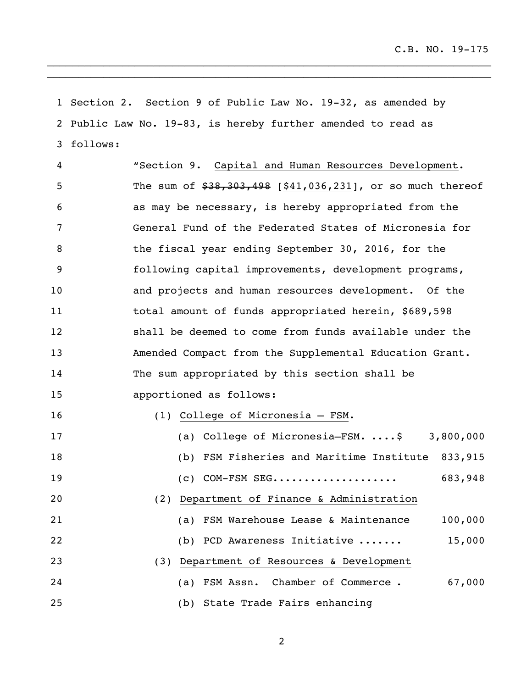Section 2. Section 9 of Public Law No. 19-32, as amended by Public Law No. 19-83, is hereby further amended to read as follows:

\_\_\_\_\_\_\_\_\_\_\_\_\_\_\_\_\_\_\_\_\_\_\_\_\_\_\_\_\_\_\_\_\_\_\_\_\_\_\_\_\_\_\_\_\_\_\_\_\_\_\_\_\_\_\_\_\_\_\_\_\_\_\_\_\_\_\_\_\_\_\_ \_\_\_\_\_\_\_\_\_\_\_\_\_\_\_\_\_\_\_\_\_\_\_\_\_\_\_\_\_\_\_\_\_\_\_\_\_\_\_\_\_\_\_\_\_\_\_\_\_\_\_\_\_\_\_\_\_\_\_\_\_\_\_\_\_\_\_\_\_\_\_

 "Section 9. Capital and Human Resources Development. 5 The sum of  $$38,303,498$  [\$41,036,231], or so much thereof as may be necessary, is hereby appropriated from the General Fund of the Federated States of Micronesia for the fiscal year ending September 30, 2016, for the following capital improvements, development programs, and projects and human resources development. Of the total amount of funds appropriated herein, \$689,598 shall be deemed to come from funds available under the Amended Compact from the Supplemental Education Grant. The sum appropriated by this section shall be apportioned as follows: (1) College of Micronesia – FSM. (a) College of Micronesia–FSM. ....\$ 3,800,000 (b) FSM Fisheries and Maritime Institute 833,915 (c) COM-FSM SEG.................... 683,948 (2) Department of Finance & Administration (a) FSM Warehouse Lease & Maintenance 100,000 (b) PCD Awareness Initiative ....... 15,000 (3) Department of Resources & Development (a) FSM Assn. Chamber of Commerce . 67,000 (b) State Trade Fairs enhancing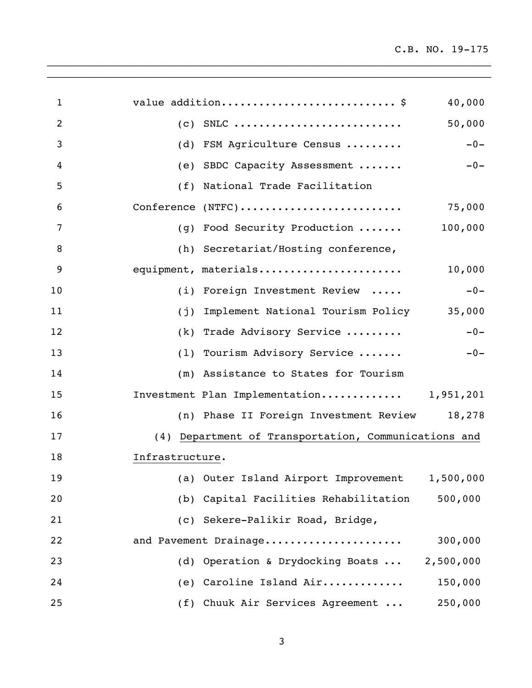| $\mathbf 1$ | value addition\$<br>40,000                           |
|-------------|------------------------------------------------------|
| 2           | 50,000                                               |
| 3           | $-0-$<br>(d) FSM Agriculture Census                  |
| 4           | (e) SBDC Capacity Assessment<br>$-0-$                |
| 5           | (f) National Trade Facilitation                      |
| 6           |                                                      |
| 7           | (g) Food Security Production  100,000                |
| 8           | (h) Secretariat/Hosting conference,                  |
| 9           | equipment, materials<br>10,000                       |
| 10          | $-0-$<br>(i) Foreign Investment Review               |
| 11          | (j) Implement National Tourism Policy 35,000         |
| 12          | (k) Trade Advisory Service<br>$-0-$                  |
| 13          | (1) Tourism Advisory Service<br>$-0-$                |
| 14          | (m) Assistance to States for Tourism                 |
| 15          | Investment Plan Implementation 1,951,201             |
| 16          | (n) Phase II Foreign Investment Review 18,278        |
| 17          | (4) Department of Transportation, Communications and |
| 18          | Infrastructure.                                      |
| 19          | (a) Outer Island Airport Improvement 1,500,000       |
| 20          | (b) Capital Facilities Rehabilitation<br>500,000     |
| 21          | (c) Sekere-Palikir Road, Bridge,                     |
| 22          | 300,000<br>and Pavement Drainage                     |
| 23          | (d) Operation & Drydocking Boats<br>2,500,000        |
| 24          | 150,000<br>(e) Caroline Island Air                   |
| 25          | (f) Chuuk Air Services Agreement<br>250,000          |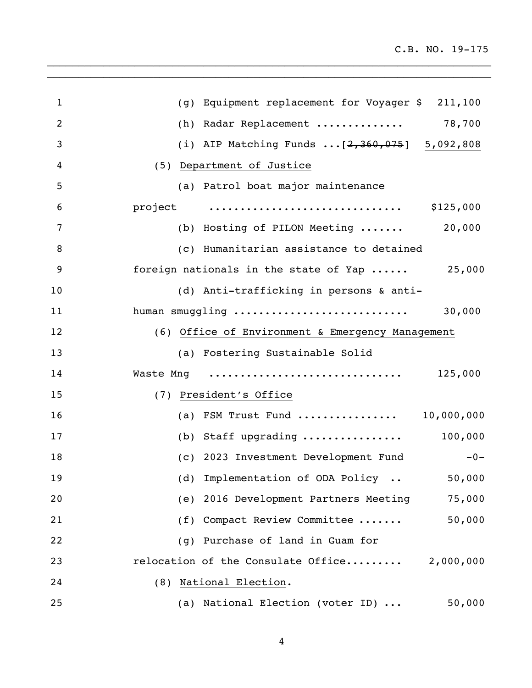| $\mathbf{1}$   | (g) Equipment replacement for Voyager \$ 211,100             |
|----------------|--------------------------------------------------------------|
| $\overline{2}$ | 78,700<br>(h) Radar Replacement                              |
| 3              | (i) AIP Matching Funds $[2,360,075]$ 5,092,808               |
| 4              | (5) Department of Justice                                    |
| 5              | (a) Patrol boat major maintenance                            |
| 6              | project<br>\$125,000                                         |
| 7              | 20,000<br>(b) Hosting of PILON Meeting                       |
| 8              | (c) Humanitarian assistance to detained                      |
| 9              | foreign nationals in the state of Yap<br>25,000              |
| 10             | (d) Anti-trafficking in persons & anti-                      |
| 11             | human smuggling<br>30,000                                    |
| 12             | (6) Office of Environment & Emergency Management             |
| 13             | (a) Fostering Sustainable Solid                              |
| 14             | 125,000                                                      |
| 15             | (7) President's Office                                       |
| 16             | (a) FSM Trust Fund  10,000,000                               |
| 17             | 100,000<br>(b) Staff upgrading $\ldots \ldots \ldots \ldots$ |
| 18             | (c) 2023 Investment Development Fund<br>$-0-$                |
| 19             | (d) Implementation of ODA Policy<br>50,000                   |
| 20             | (e) 2016 Development Partners Meeting<br>75,000              |
| 21             | 50,000<br>(f) Compact Review Committee                       |
| 22             | (g) Purchase of land in Guam for                             |
| 23             | relocation of the Consulate Office 2,000,000                 |
| 24             | (8) National Election.                                       |
| 25             | (a) National Election (voter ID)<br>50,000                   |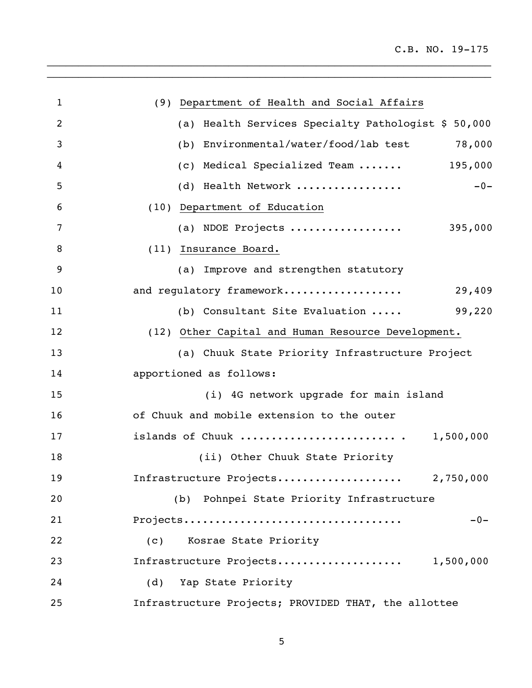| 1              | (9) Department of Health and Social Affairs          |
|----------------|------------------------------------------------------|
| $\overline{2}$ | (a) Health Services Specialty Pathologist \$ 50,000  |
| 3              | 78,000<br>(b) Environmental/water/food/lab test      |
| 4              | 195,000<br>(c) Medical Specialized Team              |
| 5              | (d) Health Network<br>$-0-$                          |
| 6              | (10) Department of Education                         |
| 7              | (a) NDOE Projects<br>395,000                         |
| 8              | (11) Insurance Board.                                |
| 9              | (a) Improve and strengthen statutory                 |
| 10             | 29,409<br>and regulatory framework                   |
| 11             | 99,220<br>(b) Consultant Site Evaluation             |
| 12             | (12) Other Capital and Human Resource Development.   |
| 13             | (a) Chuuk State Priority Infrastructure Project      |
| 14             | apportioned as follows:                              |
| 15             | (i) 4G network upgrade for main island               |
| 16             | of Chuuk and mobile extension to the outer           |
| 17             | islands of Chuuk  1,500,000                          |
| 18             | (ii) Other Chuuk State Priority                      |
| 19             | Infrastructure Projects 2,750,000                    |
| 20             | (b) Pohnpei State Priority Infrastructure            |
| 21             | Projects<br>$-0-$                                    |
| 22             | Kosrae State Priority<br>(C)                         |
| 23             | Infrastructure Projects 1,500,000                    |
| 24             | (d) Yap State Priority                               |
| 25             | Infrastructure Projects; PROVIDED THAT, the allottee |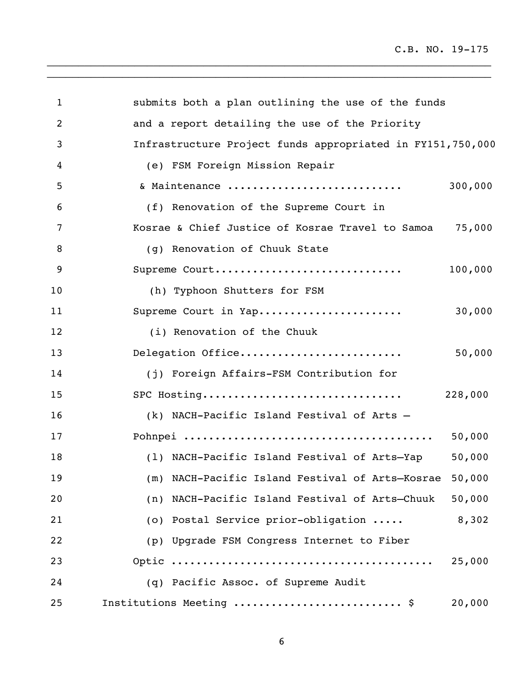C.B. NO. 19-175

| 1  | submits both a plan outlining the use of the funds         |         |
|----|------------------------------------------------------------|---------|
| 2  | and a report detailing the use of the Priority             |         |
| 3  | Infrastructure Project funds appropriated in FY151,750,000 |         |
| 4  | (e) FSM Foreign Mission Repair                             |         |
| 5  | & Maintenance                                              | 300,000 |
| 6  | (f) Renovation of the Supreme Court in                     |         |
| 7  | Kosrae & Chief Justice of Kosrae Travel to Samoa           | 75,000  |
| 8  | (g) Renovation of Chuuk State                              |         |
| 9  | Supreme Court                                              | 100,000 |
| 10 | (h) Typhoon Shutters for FSM                               |         |
| 11 | Supreme Court in Yap                                       | 30,000  |
| 12 | (i) Renovation of the Chuuk                                |         |
| 13 | Delegation Office                                          | 50,000  |
| 14 | (j) Foreign Affairs-FSM Contribution for                   |         |
| 15 | SPC Hosting                                                | 228,000 |
| 16 | (k) NACH-Pacific Island Festival of Arts -                 |         |
| 17 |                                                            | 50,000  |
| 18 | (1) NACH-Pacific Island Festival of Arts-Yap               | 50,000  |
| 19 | (m) NACH-Pacific Island Festival of Arts-Kosrae            | 50,000  |
| 20 | (n) NACH-Pacific Island Festival of Arts-Chuuk             | 50,000  |
| 21 | (o) Postal Service prior-obligation                        | 8,302   |
| 22 | (p) Upgrade FSM Congress Internet to Fiber                 |         |
| 23 |                                                            | 25,000  |
| 24 | (q) Pacific Assoc. of Supreme Audit                        |         |
| 25 | Institutions Meeting  \$                                   | 20,000  |